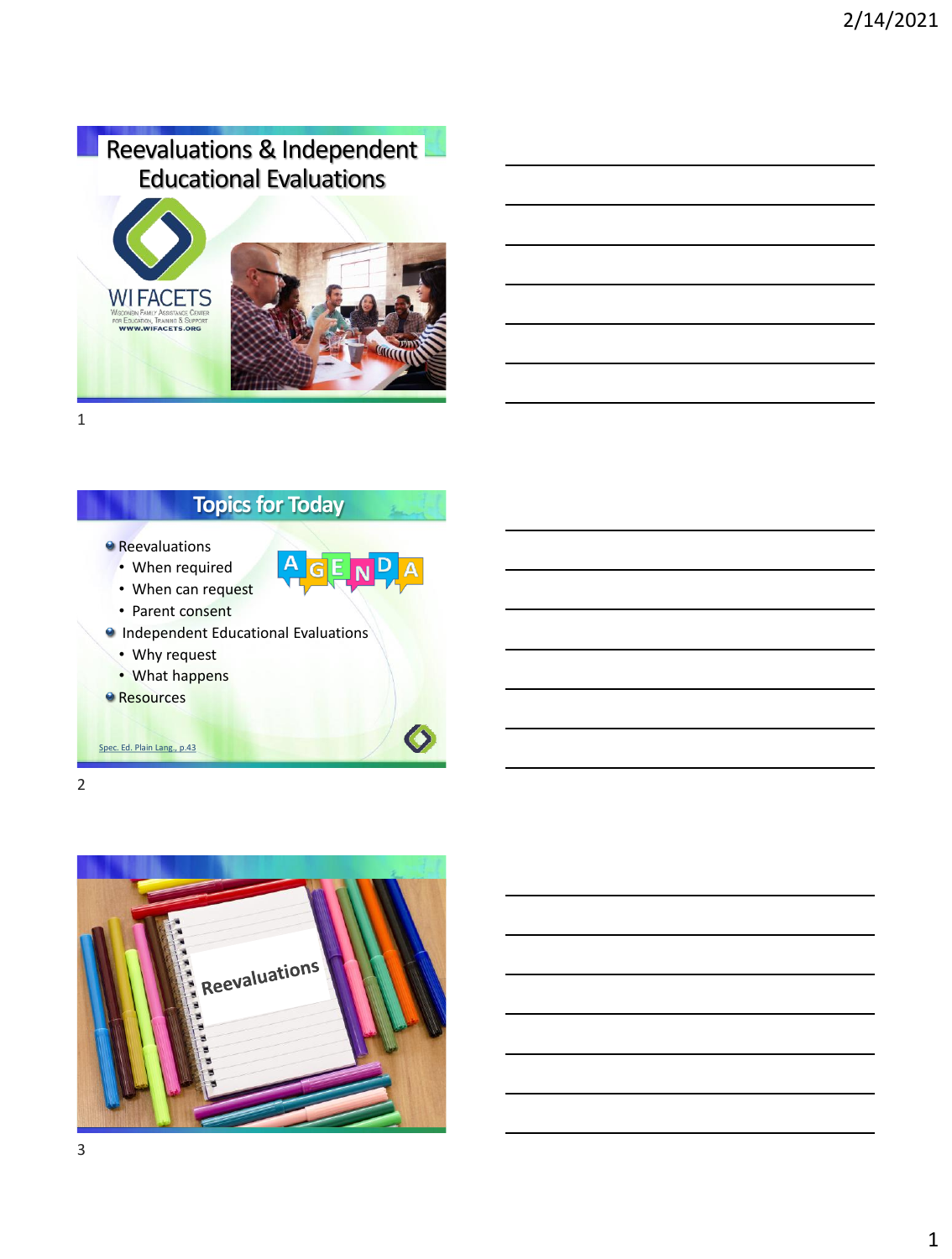# Reevaluations & Independent Educational Evaluations



1

# **Topics for Today**

 $\blacktriangle$ 

 $GEN$ <sup>D</sup>

- **Reevaluations** 
	- When required
	- When can request
	- Parent consent
- **Independent Educational Evaluations** 
	- Why request
	- What happens
- **Resources**

[Spec. Ed. Plain Lang., p.43](https://www.wsems.us/special-education-in-plain-language/)

2

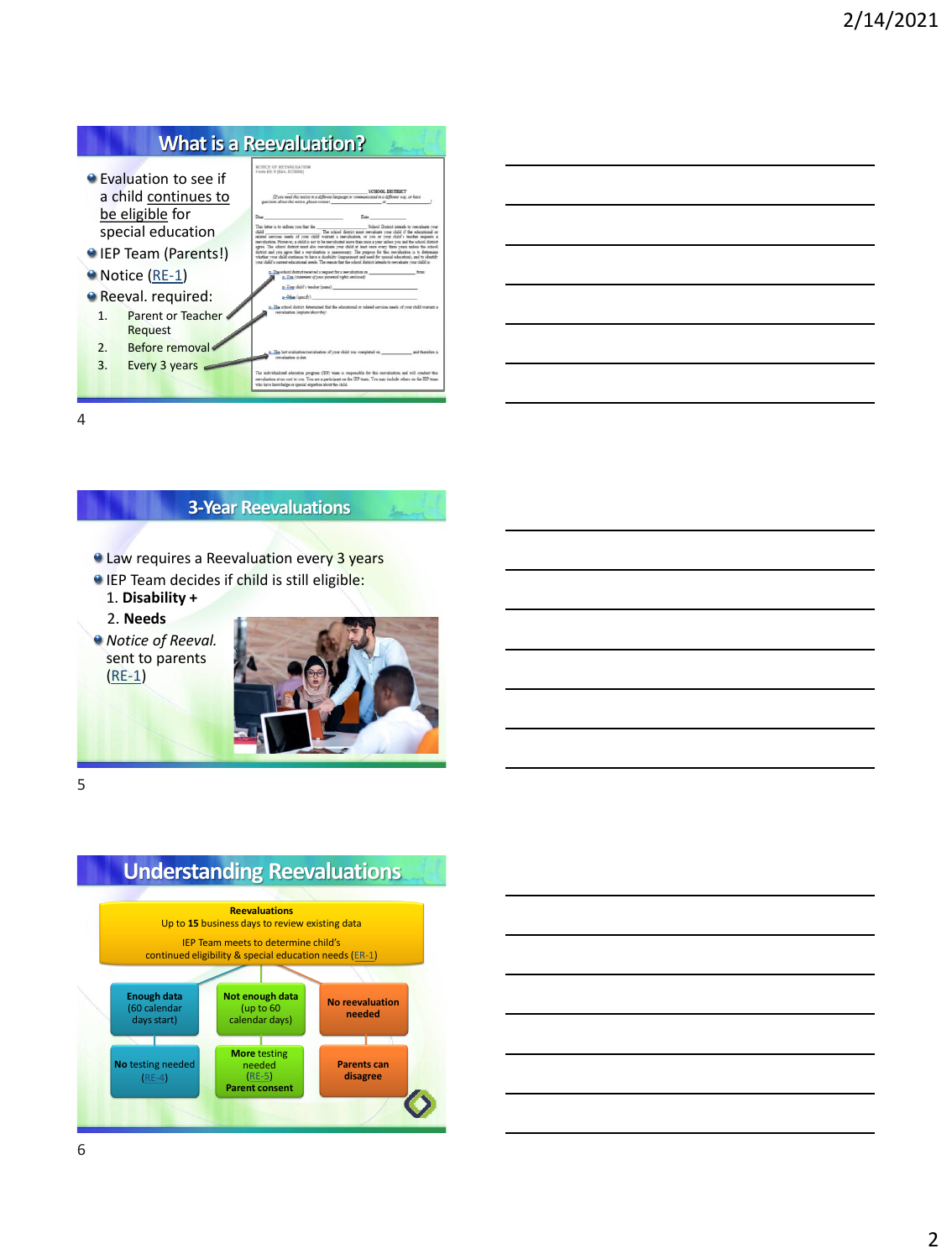#### **What is a Reevaluation?**

NOTICE OF REEVALUATION

[If you need this notice in a different land



- IEP Team (Parents
- Notice [\(RE-1\)](https://dpi.wi.gov/sped/laws-procedures-bulletins/procedures/sample/forms)
- **Reeval.** required:
- 1. Parent or Teache
- **Request** 2. Before removal
- 3. Every 3 years
- 

|     | Dear                                                                                                                                                                                                                                                                                                                                                                                                                                                                | Date                                                                |                                            |
|-----|---------------------------------------------------------------------------------------------------------------------------------------------------------------------------------------------------------------------------------------------------------------------------------------------------------------------------------------------------------------------------------------------------------------------------------------------------------------------|---------------------------------------------------------------------|--------------------------------------------|
|     | This letter is to inform you that the<br>$-1.74$<br>related services needs of your child warrant a sweakation, or you or your child's teacher requests a<br>reevaluation. However, a child is not to be reevaluated more than once a vear unless vou and the school district                                                                                                                                                                                        | The whool district must reevaluate your child if the educational or | School District intends to resynthate your |
| s!) | agree. The school district must also reecultate your child at least once every three years unless the school<br>district and you agree that a reevaluation is unnecessary. The purpose for this reevaluation is to determine<br>whether your child continues to have a disability (inspairment and need for special education), and to identify<br>your child's current educational meets. The reason that the school district intends to rewraluate your child is: |                                                                     |                                            |
|     | 2. The school district received a request for a reevaluation on.<br>a. You issuement of your parental rights enclosed-<br>a. Your child's teacher (name)<br>c. Other (specify) and the control of the control of the control of the control of                                                                                                                                                                                                                      |                                                                     |                                            |
| e   | a. The school district determined that the educational or related services needs of your child warrant a<br>remainstice /explain/december                                                                                                                                                                                                                                                                                                                           |                                                                     |                                            |
|     | The last evaluation/rectabation of your child was completed on<br>metalusion is due.                                                                                                                                                                                                                                                                                                                                                                                |                                                                     | and thankfore a                            |
|     | The individualized education program (IPP) team is responsible for this reevaluation and will conduct this<br>restraination at no cost to you. You are a narticipant on the IEP team. You may include others on the IEP team.<br>the control of the control of the control of the control of the control of the control of the control of the control of the control of the control of the control of the control of the control of the control of the control      |                                                                     |                                            |

.<br>1800L DISTRICT<br>tal in a different way, or have

| <u> 1989 - Johann Stoff, deutscher Stoffen und der Stoffen und der Stoffen und der Stoffen und der Stoffen und de</u>                                                                                                         |  |  |  |
|-------------------------------------------------------------------------------------------------------------------------------------------------------------------------------------------------------------------------------|--|--|--|
|                                                                                                                                                                                                                               |  |  |  |
| <u> 1989 - Johann Stoff, deutscher Stoffen und der Stoffen und der Stoffen und der Stoffen und der Stoffen und de</u>                                                                                                         |  |  |  |
|                                                                                                                                                                                                                               |  |  |  |
| the control of the control of the control of the control of the control of the control of the control of the control of the control of the control of the control of the control of the control of the control of the control |  |  |  |
|                                                                                                                                                                                                                               |  |  |  |
| <u> 1989 - Johann Harry Barn, mars an t-Amerikaansk kommunist (</u>                                                                                                                                                           |  |  |  |
|                                                                                                                                                                                                                               |  |  |  |

4

#### **3-Year Reevaluations**

- **E** Law requires a Reevaluation every 3 years
- IEP Team decides if child is still eligible: 1. **Disability +** 
	- 2. **Needs**

*Notice of Reeval.*  sent to parents [\(RE-1\)](https://dpi.wi.gov/sped/laws-procedures-bulletins/procedures/sample/forms)



5



#### **Understanding Reevaluations**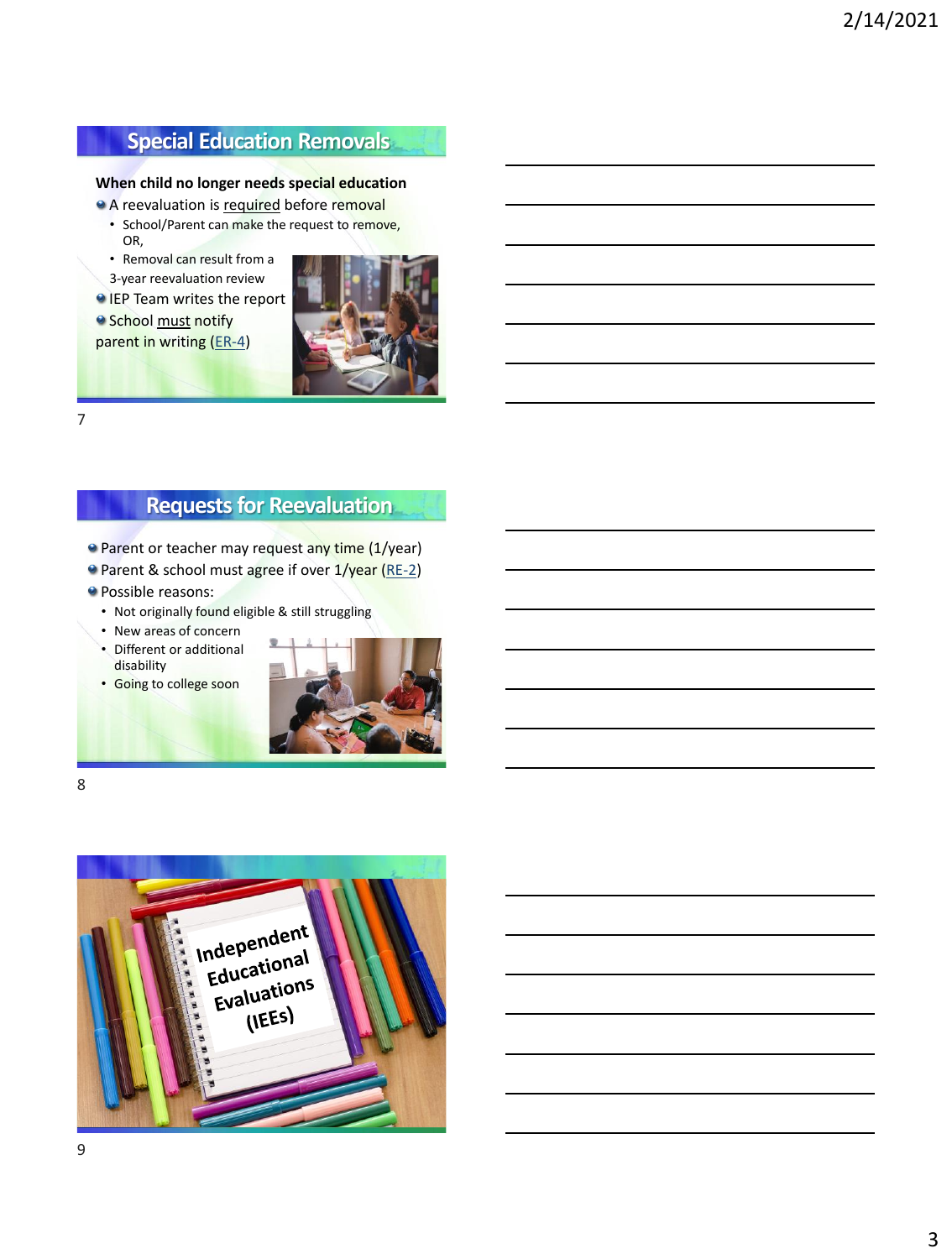## **Special Education Removals**

#### **When child no longer needs special education**

- A reevaluation is required before removal
	- School/Parent can make the request to remove, OR,
	- Removal can result from a 3-year reevaluation review
- IEP Team writes the report

**School must notify** parent in writing ([ER-4\)](https://dpi.wi.gov/sped/laws-procedures-bulletins/procedures/sample/forms)

7

#### **Requests for Reevaluation**

- **Parent or teacher may request any time (1/year)**
- **Parent & school must agree if over 1/year [\(RE-2\)](https://dpi.wi.gov/sped/laws-procedures-bulletins/procedures/sample/forms)**
- **Possible reasons:** 
	- Not originally found eligible & still struggling
	- New areas of concern
	- Different or additional disability
	- Going to college soon



8

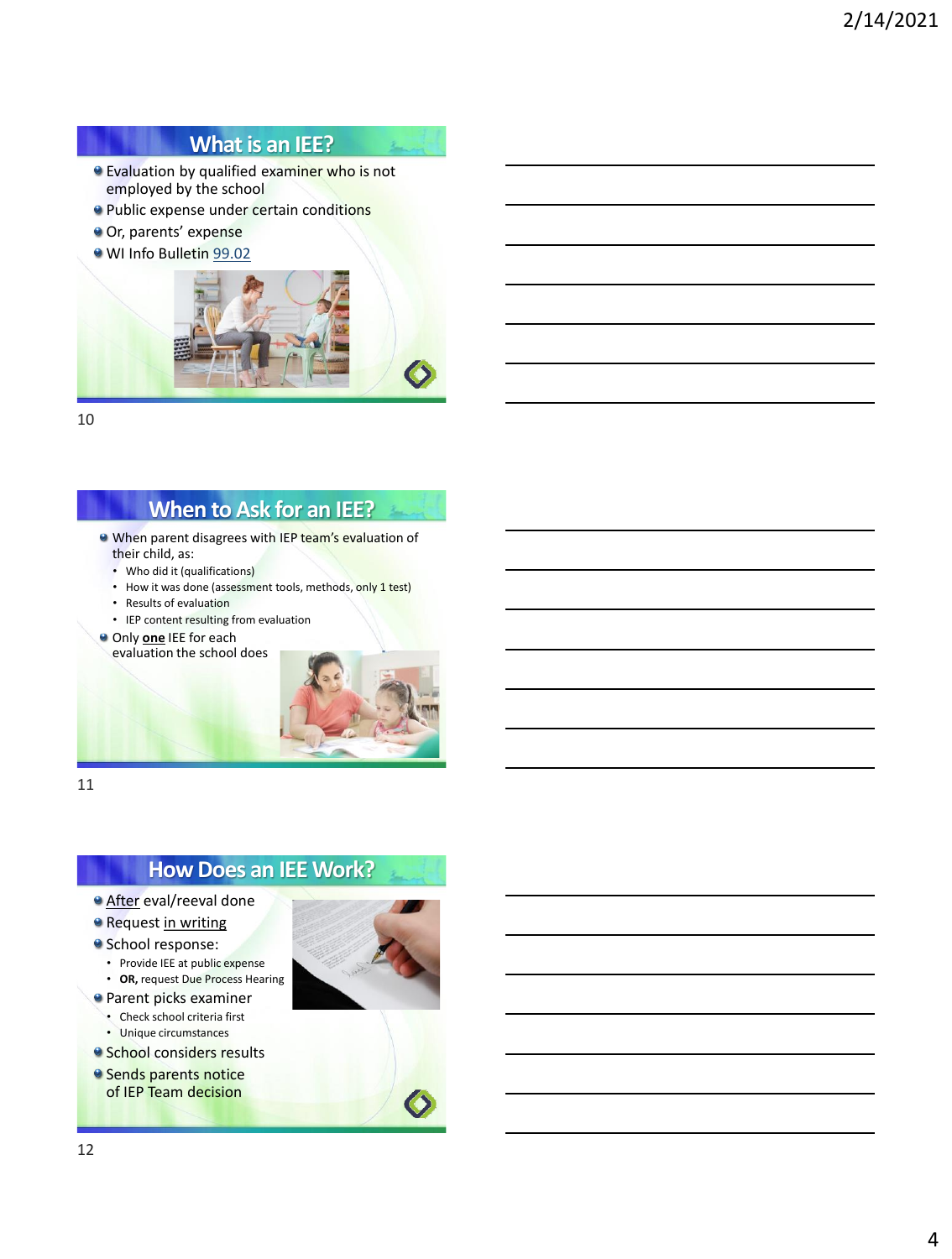#### **What is an IEE?**

- **Evaluation by qualified examiner who is not** employed by the school
- **Public expense under certain conditions**
- Or, parents' expense
- WI Info Bulletin [99.02](https://dpi.wi.gov/sped/laws-procedures-bulletins/bulletins/99-02)



10

#### **When to Ask for an IEE?**

- When parent disagrees with IEP team's evaluation of their child, as:
	- Who did it (qualifications)
	- How it was done (assessment tools, methods, only 1 test)
	- Results of evaluation
	- IEP content resulting from evaluation
- **Only one** IEE for each evaluation the school does



11

### **How Does an IEE Work?**

- **After eval/reeval done**
- **Request in writing**
- **School response:** 
	- Provide IEE at public expense
	- **OR,** request Due Process Hearing
- **Parent picks examiner** 
	- Check school criteria first
	- Unique circumstances
- **School considers results**
- <sup>o</sup> Sends parents notice of IEP Team decision